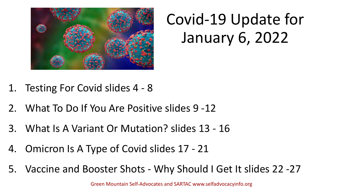

# Covid-19 Update for January 6, 2022

- 1. Testing For Covid slides 4 8
- 2. What To Do If You Are Positive slides 9 -12
- 3. What Is A Variant Or Mutation? slides 13 16
- 4. Omicron Is A Type of Covid slides 17 21
- 5. Vaccine and Booster Shots Why Should I Get It slides 22 -27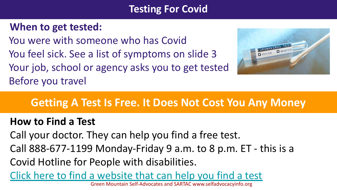### **Testing For Covid**

#### **When to get tested:**

You were with someone who has Covid You feel sick. See a list of symptoms on slide 3 Your job, school or agency asks you to get tested Before you travel



### **Getting A Test Is Free. It Does Not Cost You Any Money**

### **How to Find a Test**

Call your doctor. They can help you find a free test.

Call 888-677-1199 Monday-Friday 9 a.m. to 8 p.m. ET - this is a Covid Hotline for People with disabilities.

[Click here to find a website that can help you find a test](https://www.hhs.gov/coronavirus/community-based-testing-sites/index.html)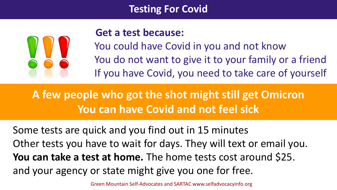#### **Testing For Covid**



#### **Get a test because:**

You could have Covid in you and not know You do not want to give it to your family or a friend If you have Covid, you need to take care of yourself

# **A few people who got the shot might still get Omicron You can have Covid and not feel sick**

Some tests are quick and you find out in 15 minutes Other tests you have to wait for days. They will text or email you. **You can take a test at home.** The home tests cost around \$25. and your agency or state might give you one for free.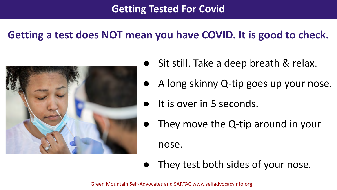### **Getting a test does NOT mean you have COVID. It is good to check.**



- Sit still. Take a deep breath & relax.
- A long skinny Q-tip goes up your nose.
- It is over in 5 seconds.
- They move the Q-tip around in your

nose.

They test both sides of your nose.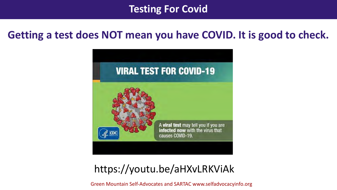#### **Testing For Covid**

#### **Getting a test does NOT mean you have COVID. It is good to check.**



### https://youtu.be/aHXvLRKViAk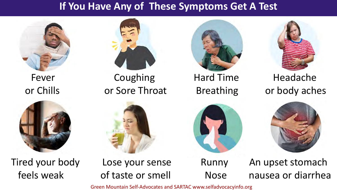#### **If You Have Any of These Symptoms Get A Test**







Fever Coughing Hard Time Headache





or Chills or Sore Throat Breathing or body aches



Tired your body Lose your sense Runny An upset stomach feels weak of taste or smell Nose nausea or diarrhea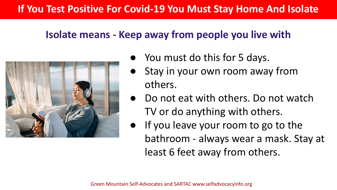#### **Isolate means - Keep away from people you live with**



- You must do this for 5 days.
- Stay in your own room away from others.
- Do not eat with others. Do not watch TV or do anything with others.
- If you leave your room to go to the bathroom - always wear a mask. Stay at least 6 feet away from others.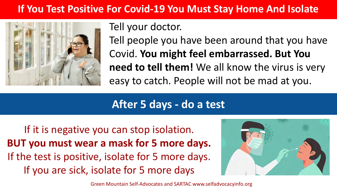### **If You Test Positive For Covid-19 You Must Stay Home And Isolate**



Tell your doctor.

Tell people you have been around that you have Covid. **You might feel embarrassed. But You need to tell them!** We all know the virus is very easy to catch. People will not be mad at you.

### **After 5 days - do a test**

If it is negative you can stop isolation. **BUT you must wear a mask for 5 more days.** If the test is positive, isolate for 5 more days. If you are sick, isolate for 5 more days

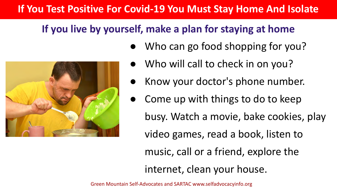#### **If You Test Positive For Covid-19 You Must Stay Home And Isolate**

### **If you live by yourself, make a plan for staying at home**



- Who can go food shopping for you?
- Who will call to check in on you?
- Know your doctor's phone number.
- Come up with things to do to keep busy. Watch a movie, bake cookies, play video games, read a book, listen to music, call or a friend, explore the internet, clean your house.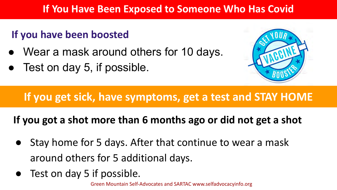### **If You Have Been Exposed to Someone Who Has Covid**

### **If you have been boosted**

- Wear a mask around others for 10 days.
- Test on day 5, if possible.



### **If you get sick, have symptoms, get a test and STAY HOME**

### **If you got a shot more than 6 months ago or did not get a shot**

- Stay home for 5 days. After that continue to wear a mask around others for 5 additional days.
- Test on day 5 if possible.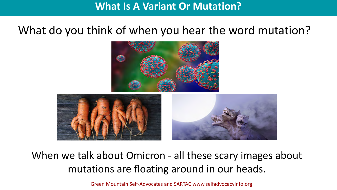### What do you think of when you hear the word mutation?





### When we talk about Omicron - all these scary images about mutations are floating around in our heads.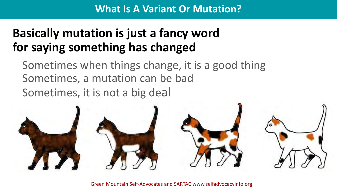# **Basically mutation is just a fancy word for saying something has changed**

Sometimes when things change, it is a good thing Sometimes, a mutation can be bad Sometimes, it is not a big deal

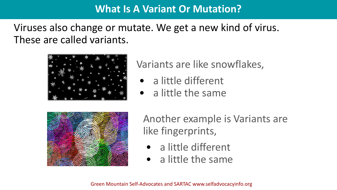### Viruses also change or mutate. We get a new kind of virus. These are called variants.



### Variants are like snowflakes,

- a little different
- a little the same



Another example is Variants are like fingerprints,

- a little different
- a little the same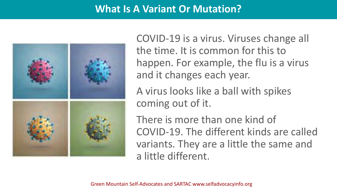

COVID-19 is a virus. Viruses change all the time. It is common for this to happen. For example, the flu is a virus and it changes each year.

A virus looks like a ball with spikes coming out of it.

There is more than one kind of COVID-19. The different kinds are called variants. They are a little the same and a little different.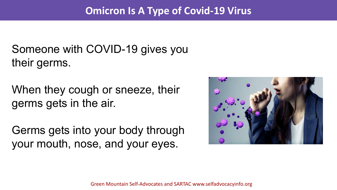Someone with COVID-19 gives you their germs.

When they cough or sneeze, their germs gets in the air.

Germs gets into your body through your mouth, nose, and your eyes.

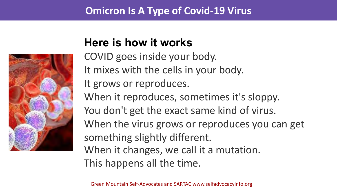

### **Here is how it works**

COVID goes inside your body. It mixes with the cells in your body. It grows or reproduces. When it reproduces, sometimes it's sloppy. You don't get the exact same kind of virus. When the virus grows or reproduces you can get something slightly different. When it changes, we call it a mutation. This happens all the time.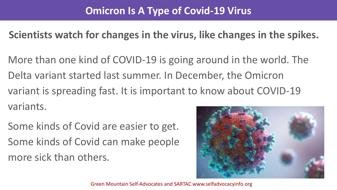**Scientists watch for changes in the virus, like changes in the spikes.**

More than one kind of COVID-19 is going around in the world. The Delta variant started last summer. In December, the Omicron variant is spreading fast. It is important to know about COVID-19 variants.

Some kinds of Covid are easier to get. Some kinds of Covid can make people more sick than others.

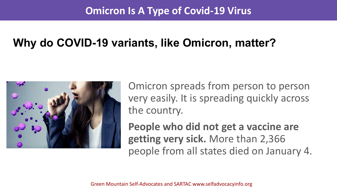### **Why do COVID-19 variants, like Omicron, matter?**



Omicron spreads from person to person very easily. It is spreading quickly across the country.

**People who did not get a vaccine are getting very sick.** More than 2,366 people from all states died on January 4.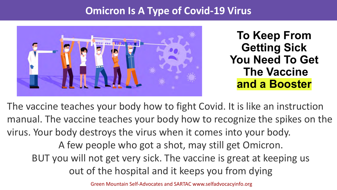

**To Keep From Getting Sick You Need To Get The Vaccine and a Booster** 

The vaccine teaches your body how to fight Covid. It is like an instruction manual. The vaccine teaches your body how to recognize the spikes on the virus. Your body destroys the virus when it comes into your body. A few people who got a shot, may still get Omicron. BUT you will not get very sick. The vaccine is great at keeping us out of the hospital and it keeps you from dying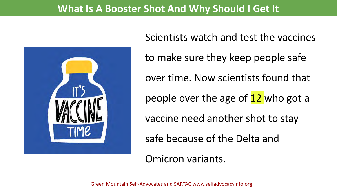

Scientists watch and test the vaccines to make sure they keep people safe over time. Now scientists found that people over the age of  $12$  who got a vaccine need another shot to stay safe because of the Delta and

Omicron variants.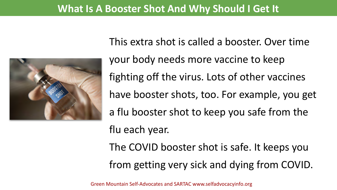

This extra shot is called a booster. Over time your body needs more vaccine to keep fighting off the virus. Lots of other vaccines have booster shots, too. For example, you get a flu booster shot to keep you safe from the flu each year. The COVID booster shot is safe. It keeps you from getting very sick and dying from COVID.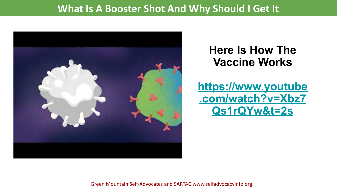

### **Here Is How The Vaccine Works**

**[https://www.youtube](https://www.youtube.com/watch?v=Xbz7Qs1rQYw&t=2s) [.com/watch?v=Xbz7](https://www.youtube.com/watch?v=Xbz7Qs1rQYw&t=2s) [Qs1rQYw&t=2s](https://www.youtube.com/watch?v=Xbz7Qs1rQYw&t=2s)**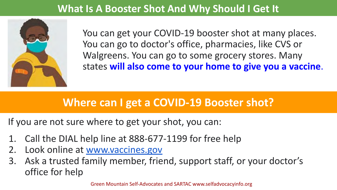

You can get your COVID-19 booster shot at many places. You can go to doctor's office, pharmacies, like CVS or Walgreens. You can go to some grocery stores. Many states **will also come to your home to give you a vaccine**.

### **Where can I get a COVID-19 Booster shot?**

If you are not sure where to get your shot, you can:

- 1. Call the DIAL help line at 888-677-1199 for free help
- 2. Look online at [www.vaccines.gov](http://www.vaccines.gov)
- 3. Ask a trusted family member, friend, support staff, or your doctor's office for help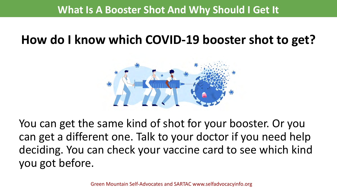# **How do I know which COVID-19 booster shot to get?**



You can get the same kind of shot for your booster. Or you can get a different one. Talk to your doctor if you need help deciding. You can check your vaccine card to see which kind you got before.